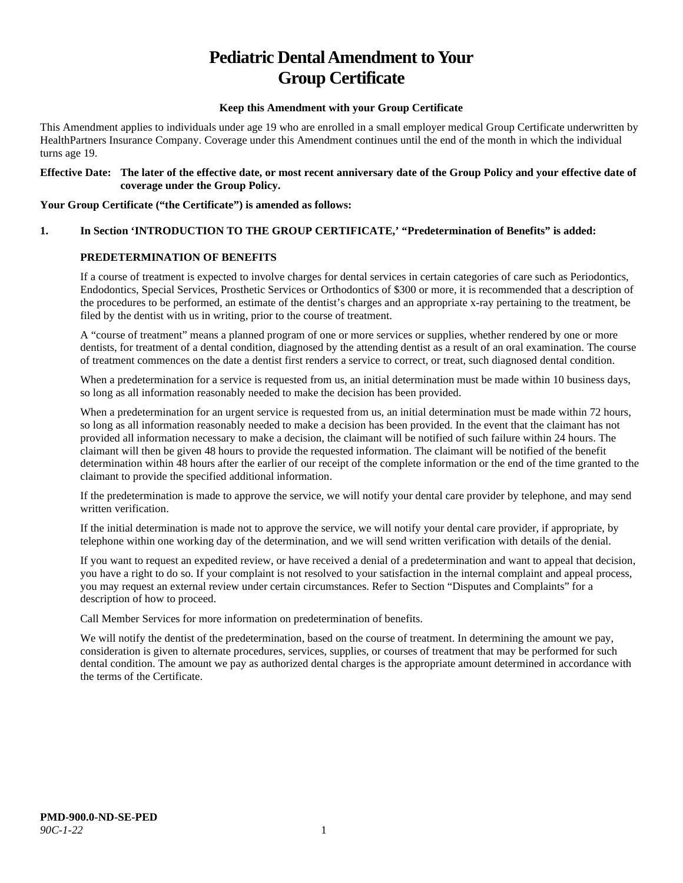# **Pediatric Dental Amendment to Your Group Certificate**

#### **Keep this Amendment with your Group Certificate**

This Amendment applies to individuals under age 19 who are enrolled in a small employer medical Group Certificate underwritten by HealthPartners Insurance Company. Coverage under this Amendment continues until the end of the month in which the individual turns age 19.

#### **Effective Date: The later of the effective date, or most recent anniversary date of the Group Policy and your effective date of coverage under the Group Policy.**

#### **Your Group Certificate ("the Certificate") is amended as follows:**

# **1. In Section 'INTRODUCTION TO THE GROUP CERTIFICATE,' "Predetermination of Benefits" is added:**

#### **PREDETERMINATION OF BENEFITS**

If a course of treatment is expected to involve charges for dental services in certain categories of care such as Periodontics, Endodontics, Special Services, Prosthetic Services or Orthodontics of \$300 or more, it is recommended that a description of the procedures to be performed, an estimate of the dentist's charges and an appropriate x-ray pertaining to the treatment, be filed by the dentist with us in writing, prior to the course of treatment.

A "course of treatment" means a planned program of one or more services or supplies, whether rendered by one or more dentists, for treatment of a dental condition, diagnosed by the attending dentist as a result of an oral examination. The course of treatment commences on the date a dentist first renders a service to correct, or treat, such diagnosed dental condition.

When a predetermination for a service is requested from us, an initial determination must be made within 10 business days, so long as all information reasonably needed to make the decision has been provided.

When a predetermination for an urgent service is requested from us, an initial determination must be made within 72 hours, so long as all information reasonably needed to make a decision has been provided. In the event that the claimant has not provided all information necessary to make a decision, the claimant will be notified of such failure within 24 hours. The claimant will then be given 48 hours to provide the requested information. The claimant will be notified of the benefit determination within 48 hours after the earlier of our receipt of the complete information or the end of the time granted to the claimant to provide the specified additional information.

If the predetermination is made to approve the service, we will notify your dental care provider by telephone, and may send written verification.

If the initial determination is made not to approve the service, we will notify your dental care provider, if appropriate, by telephone within one working day of the determination, and we will send written verification with details of the denial.

If you want to request an expedited review, or have received a denial of a predetermination and want to appeal that decision, you have a right to do so. If your complaint is not resolved to your satisfaction in the internal complaint and appeal process, you may request an external review under certain circumstances. Refer to Section "Disputes and Complaints" for a description of how to proceed.

Call Member Services for more information on predetermination of benefits.

We will notify the dentist of the predetermination, based on the course of treatment. In determining the amount we pay, consideration is given to alternate procedures, services, supplies, or courses of treatment that may be performed for such dental condition. The amount we pay as authorized dental charges is the appropriate amount determined in accordance with the terms of the Certificate.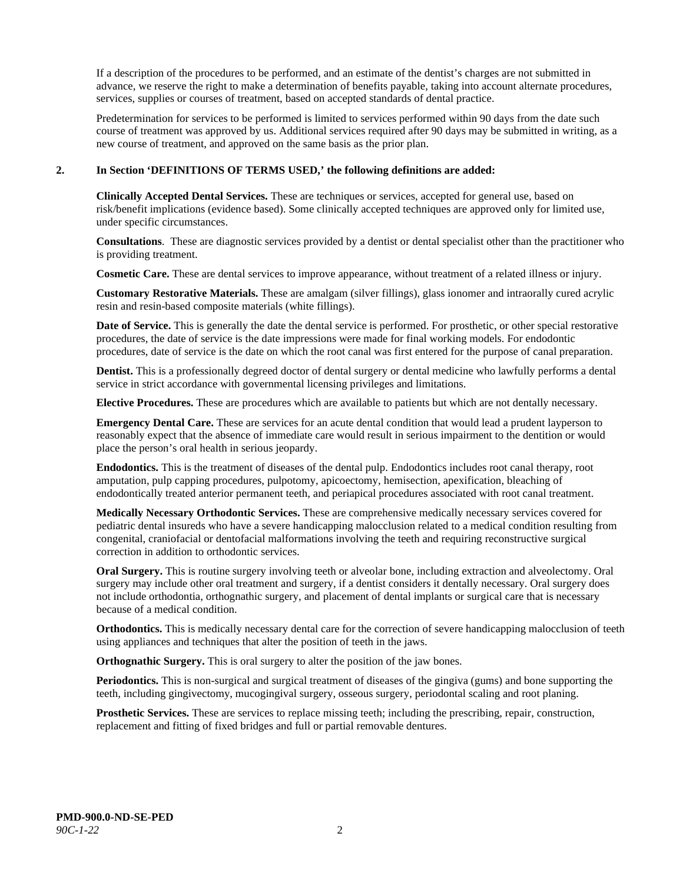If a description of the procedures to be performed, and an estimate of the dentist's charges are not submitted in advance, we reserve the right to make a determination of benefits payable, taking into account alternate procedures, services, supplies or courses of treatment, based on accepted standards of dental practice.

Predetermination for services to be performed is limited to services performed within 90 days from the date such course of treatment was approved by us. Additional services required after 90 days may be submitted in writing, as a new course of treatment, and approved on the same basis as the prior plan.

#### **2. In Section 'DEFINITIONS OF TERMS USED,' the following definitions are added:**

**Clinically Accepted Dental Services.** These are techniques or services, accepted for general use, based on risk/benefit implications (evidence based). Some clinically accepted techniques are approved only for limited use, under specific circumstances.

**Consultations**. These are diagnostic services provided by a dentist or dental specialist other than the practitioner who is providing treatment.

**Cosmetic Care.** These are dental services to improve appearance, without treatment of a related illness or injury.

**Customary Restorative Materials.** These are amalgam (silver fillings), glass ionomer and intraorally cured acrylic resin and resin-based composite materials (white fillings).

**Date of Service.** This is generally the date the dental service is performed. For prosthetic, or other special restorative procedures, the date of service is the date impressions were made for final working models. For endodontic procedures, date of service is the date on which the root canal was first entered for the purpose of canal preparation.

**Dentist.** This is a professionally degreed doctor of dental surgery or dental medicine who lawfully performs a dental service in strict accordance with governmental licensing privileges and limitations.

**Elective Procedures.** These are procedures which are available to patients but which are not dentally necessary.

**Emergency Dental Care.** These are services for an acute dental condition that would lead a prudent layperson to reasonably expect that the absence of immediate care would result in serious impairment to the dentition or would place the person's oral health in serious jeopardy.

**Endodontics.** This is the treatment of diseases of the dental pulp. Endodontics includes root canal therapy, root amputation, pulp capping procedures, pulpotomy, apicoectomy, hemisection, apexification, bleaching of endodontically treated anterior permanent teeth, and periapical procedures associated with root canal treatment.

**Medically Necessary Orthodontic Services.** These are comprehensive medically necessary services covered for pediatric dental insureds who have a severe handicapping malocclusion related to a medical condition resulting from congenital, craniofacial or dentofacial malformations involving the teeth and requiring reconstructive surgical correction in addition to orthodontic services.

**Oral Surgery.** This is routine surgery involving teeth or alveolar bone, including extraction and alveolectomy. Oral surgery may include other oral treatment and surgery, if a dentist considers it dentally necessary. Oral surgery does not include orthodontia, orthognathic surgery, and placement of dental implants or surgical care that is necessary because of a medical condition.

**Orthodontics.** This is medically necessary dental care for the correction of severe handicapping malocclusion of teeth using appliances and techniques that alter the position of teeth in the jaws.

**Orthognathic Surgery.** This is oral surgery to alter the position of the jaw bones.

**Periodontics.** This is non-surgical and surgical treatment of diseases of the gingiva (gums) and bone supporting the teeth, including gingivectomy, mucogingival surgery, osseous surgery, periodontal scaling and root planing.

**Prosthetic Services.** These are services to replace missing teeth; including the prescribing, repair, construction, replacement and fitting of fixed bridges and full or partial removable dentures.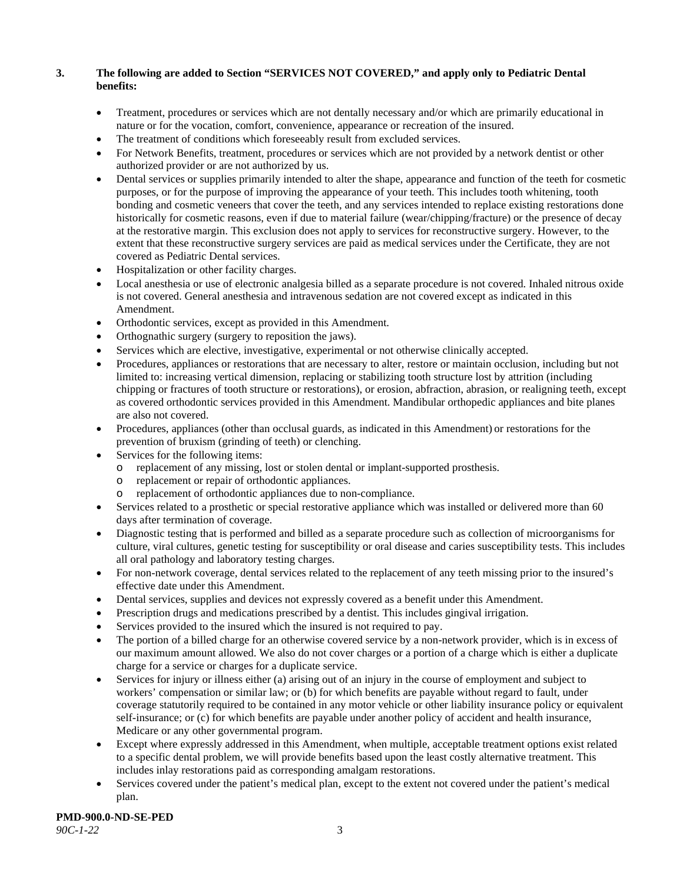# **3. The following are added to Section "SERVICES NOT COVERED," and apply only to Pediatric Dental benefits:**

- Treatment, procedures or services which are not dentally necessary and/or which are primarily educational in nature or for the vocation, comfort, convenience, appearance or recreation of the insured.
- The treatment of conditions which foreseeably result from excluded services.
- For Network Benefits, treatment, procedures or services which are not provided by a network dentist or other authorized provider or are not authorized by us.
- Dental services or supplies primarily intended to alter the shape, appearance and function of the teeth for cosmetic purposes, or for the purpose of improving the appearance of your teeth. This includes tooth whitening, tooth bonding and cosmetic veneers that cover the teeth, and any services intended to replace existing restorations done historically for cosmetic reasons, even if due to material failure (wear/chipping/fracture) or the presence of decay at the restorative margin. This exclusion does not apply to services for reconstructive surgery. However, to the extent that these reconstructive surgery services are paid as medical services under the Certificate, they are not covered as Pediatric Dental services.
- Hospitalization or other facility charges.
- Local anesthesia or use of electronic analgesia billed as a separate procedure is not covered. Inhaled nitrous oxide is not covered. General anesthesia and intravenous sedation are not covered except as indicated in this Amendment.
- Orthodontic services, except as provided in this Amendment.
- Orthognathic surgery (surgery to reposition the jaws).
- Services which are elective, investigative, experimental or not otherwise clinically accepted.
- Procedures, appliances or restorations that are necessary to alter, restore or maintain occlusion, including but not limited to: increasing vertical dimension, replacing or stabilizing tooth structure lost by attrition (including chipping or fractures of tooth structure or restorations), or erosion, abfraction, abrasion, or realigning teeth, except as covered orthodontic services provided in this Amendment. Mandibular orthopedic appliances and bite planes are also not covered.
- Procedures, appliances (other than occlusal guards, as indicated in this Amendment) or restorations for the prevention of bruxism (grinding of teeth) or clenching.
- Services for the following items:
	- o replacement of any missing, lost or stolen dental or implant-supported prosthesis.
	- replacement or repair of orthodontic appliances.
	- replacement of orthodontic appliances due to non-compliance.
- Services related to a prosthetic or special restorative appliance which was installed or delivered more than 60 days after termination of coverage.
- Diagnostic testing that is performed and billed as a separate procedure such as collection of microorganisms for culture, viral cultures, genetic testing for susceptibility or oral disease and caries susceptibility tests. This includes all oral pathology and laboratory testing charges.
- For non-network coverage, dental services related to the replacement of any teeth missing prior to the insured's effective date under this Amendment.
- Dental services, supplies and devices not expressly covered as a benefit under this Amendment.
- Prescription drugs and medications prescribed by a dentist. This includes gingival irrigation.
- Services provided to the insured which the insured is not required to pay.
- The portion of a billed charge for an otherwise covered service by a non-network provider, which is in excess of our maximum amount allowed. We also do not cover charges or a portion of a charge which is either a duplicate charge for a service or charges for a duplicate service.
- Services for injury or illness either (a) arising out of an injury in the course of employment and subject to workers' compensation or similar law; or (b) for which benefits are payable without regard to fault, under coverage statutorily required to be contained in any motor vehicle or other liability insurance policy or equivalent self-insurance; or (c) for which benefits are payable under another policy of accident and health insurance, Medicare or any other governmental program.
- Except where expressly addressed in this Amendment, when multiple, acceptable treatment options exist related to a specific dental problem, we will provide benefits based upon the least costly alternative treatment. This includes inlay restorations paid as corresponding amalgam restorations.
- Services covered under the patient's medical plan, except to the extent not covered under the patient's medical plan.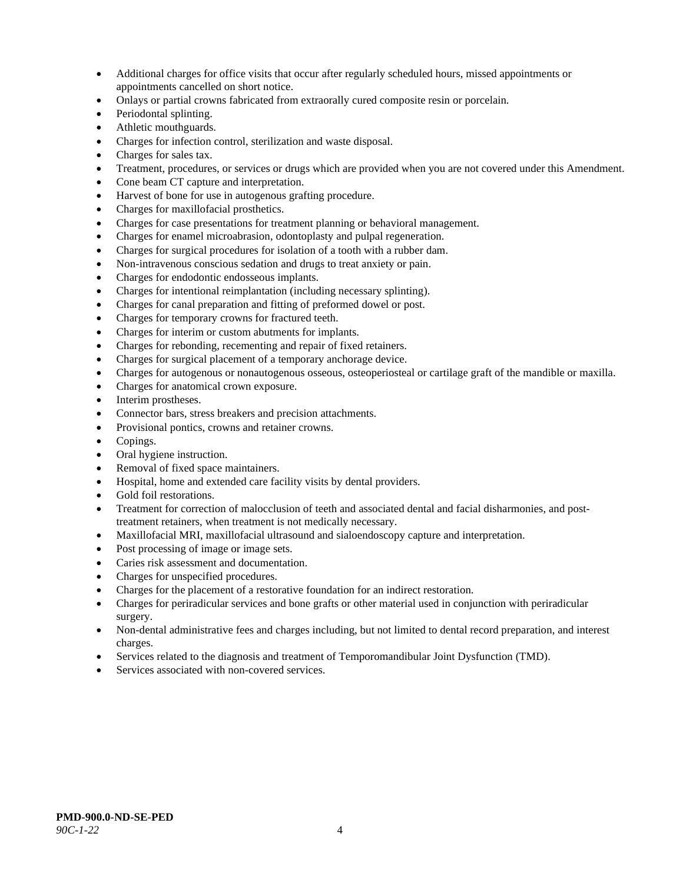- Additional charges for office visits that occur after regularly scheduled hours, missed appointments or appointments cancelled on short notice.
- Onlays or partial crowns fabricated from extraorally cured composite resin or porcelain.
- Periodontal splinting.
- Athletic mouthguards.
- Charges for infection control, sterilization and waste disposal.
- Charges for sales tax.
- Treatment, procedures, or services or drugs which are provided when you are not covered under this Amendment.
- Cone beam CT capture and interpretation.
- Harvest of bone for use in autogenous grafting procedure.
- Charges for maxillofacial prosthetics.
- Charges for case presentations for treatment planning or behavioral management.
- Charges for enamel microabrasion, odontoplasty and pulpal regeneration.
- Charges for surgical procedures for isolation of a tooth with a rubber dam.
- Non-intravenous conscious sedation and drugs to treat anxiety or pain.
- Charges for endodontic endosseous implants.
- Charges for intentional reimplantation (including necessary splinting).
- Charges for canal preparation and fitting of preformed dowel or post.
- Charges for temporary crowns for fractured teeth.
- Charges for interim or custom abutments for implants.
- Charges for rebonding, recementing and repair of fixed retainers.
- Charges for surgical placement of a temporary anchorage device.
- Charges for autogenous or nonautogenous osseous, osteoperiosteal or cartilage graft of the mandible or maxilla.
- Charges for anatomical crown exposure.
- Interim prostheses.
- Connector bars, stress breakers and precision attachments.
- Provisional pontics, crowns and retainer crowns.
- Copings.
- Oral hygiene instruction.
- Removal of fixed space maintainers.
- Hospital, home and extended care facility visits by dental providers.
- Gold foil restorations.
- Treatment for correction of malocclusion of teeth and associated dental and facial disharmonies, and posttreatment retainers, when treatment is not medically necessary.
- Maxillofacial MRI, maxillofacial ultrasound and sialoendoscopy capture and interpretation.
- Post processing of image or image sets.
- Caries risk assessment and documentation.
- Charges for unspecified procedures.
- Charges for the placement of a restorative foundation for an indirect restoration.
- Charges for periradicular services and bone grafts or other material used in conjunction with periradicular surgery.
- Non-dental administrative fees and charges including, but not limited to dental record preparation, and interest charges.
- Services related to the diagnosis and treatment of Temporomandibular Joint Dysfunction (TMD).
- Services associated with non-covered services.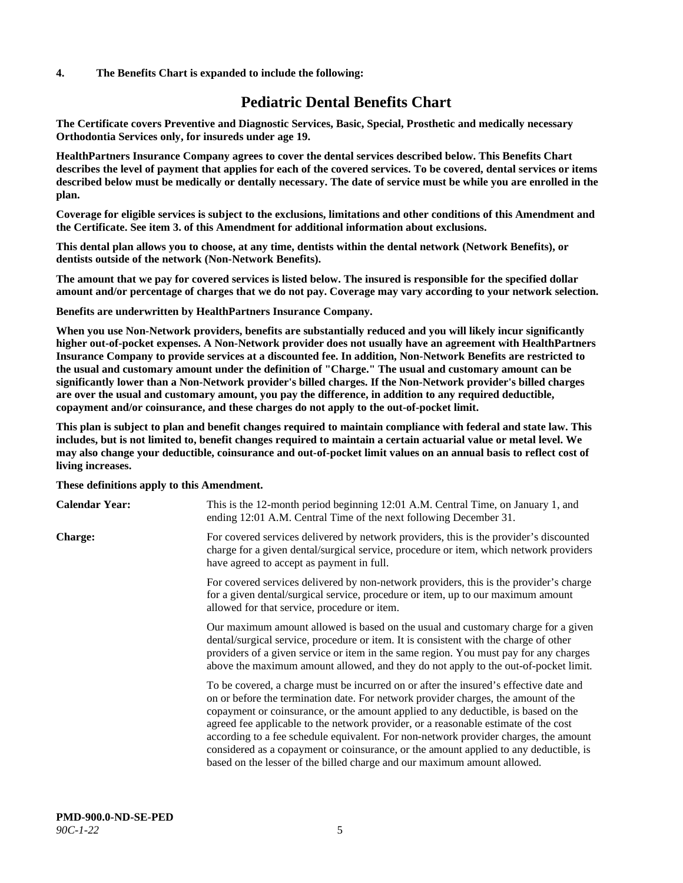#### **4. The Benefits Chart is expanded to include the following:**

# **Pediatric Dental Benefits Chart**

**The Certificate covers Preventive and Diagnostic Services, Basic, Special, Prosthetic and medically necessary Orthodontia Services only, for insureds under age 19.**

**HealthPartners Insurance Company agrees to cover the dental services described below. This Benefits Chart describes the level of payment that applies for each of the covered services. To be covered, dental services or items described below must be medically or dentally necessary. The date of service must be while you are enrolled in the plan.**

**Coverage for eligible services is subject to the exclusions, limitations and other conditions of this Amendment and the Certificate. See item 3. of this Amendment for additional information about exclusions.**

**This dental plan allows you to choose, at any time, dentists within the dental network (Network Benefits), or dentists outside of the network (Non-Network Benefits).**

**The amount that we pay for covered services is listed below. The insured is responsible for the specified dollar amount and/or percentage of charges that we do not pay. Coverage may vary according to your network selection.**

**Benefits are underwritten by HealthPartners Insurance Company.**

**When you use Non-Network providers, benefits are substantially reduced and you will likely incur significantly higher out-of-pocket expenses. A Non-Network provider does not usually have an agreement with HealthPartners Insurance Company to provide services at a discounted fee. In addition, Non-Network Benefits are restricted to the usual and customary amount under the definition of "Charge." The usual and customary amount can be significantly lower than a Non-Network provider's billed charges. If the Non-Network provider's billed charges are over the usual and customary amount, you pay the difference, in addition to any required deductible, copayment and/or coinsurance, and these charges do not apply to the out-of-pocket limit.**

**This plan is subject to plan and benefit changes required to maintain compliance with federal and state law. This includes, but is not limited to, benefit changes required to maintain a certain actuarial value or metal level. We may also change your deductible, coinsurance and out-of-pocket limit values on an annual basis to reflect cost of living increases.**

#### **These definitions apply to this Amendment.**

| <b>Calendar Year:</b> | This is the 12-month period beginning 12:01 A.M. Central Time, on January 1, and<br>ending 12:01 A.M. Central Time of the next following December 31.                                                                                                                                                                                                                                                                                                                                                                                                                                                                 |
|-----------------------|-----------------------------------------------------------------------------------------------------------------------------------------------------------------------------------------------------------------------------------------------------------------------------------------------------------------------------------------------------------------------------------------------------------------------------------------------------------------------------------------------------------------------------------------------------------------------------------------------------------------------|
| <b>Charge:</b>        | For covered services delivered by network providers, this is the provider's discounted<br>charge for a given dental/surgical service, procedure or item, which network providers<br>have agreed to accept as payment in full.                                                                                                                                                                                                                                                                                                                                                                                         |
|                       | For covered services delivered by non-network providers, this is the provider's charge<br>for a given dental/surgical service, procedure or item, up to our maximum amount<br>allowed for that service, procedure or item.                                                                                                                                                                                                                                                                                                                                                                                            |
|                       | Our maximum amount allowed is based on the usual and customary charge for a given<br>dental/surgical service, procedure or item. It is consistent with the charge of other<br>providers of a given service or item in the same region. You must pay for any charges<br>above the maximum amount allowed, and they do not apply to the out-of-pocket limit.                                                                                                                                                                                                                                                            |
|                       | To be covered, a charge must be incurred on or after the insured's effective date and<br>on or before the termination date. For network provider charges, the amount of the<br>copayment or coinsurance, or the amount applied to any deductible, is based on the<br>agreed fee applicable to the network provider, or a reasonable estimate of the cost<br>according to a fee schedule equivalent. For non-network provider charges, the amount<br>considered as a copayment or coinsurance, or the amount applied to any deductible, is<br>based on the lesser of the billed charge and our maximum amount allowed. |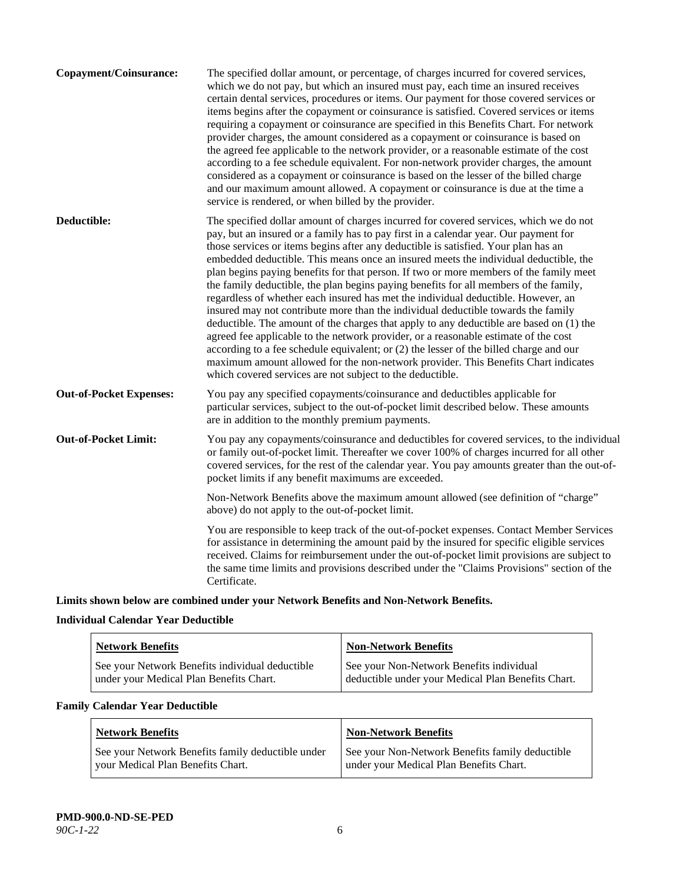| <b>Copayment/Coinsurance:</b>  | The specified dollar amount, or percentage, of charges incurred for covered services,<br>which we do not pay, but which an insured must pay, each time an insured receives<br>certain dental services, procedures or items. Our payment for those covered services or<br>items begins after the copayment or coinsurance is satisfied. Covered services or items<br>requiring a copayment or coinsurance are specified in this Benefits Chart. For network<br>provider charges, the amount considered as a copayment or coinsurance is based on<br>the agreed fee applicable to the network provider, or a reasonable estimate of the cost<br>according to a fee schedule equivalent. For non-network provider charges, the amount<br>considered as a copayment or coinsurance is based on the lesser of the billed charge<br>and our maximum amount allowed. A copayment or coinsurance is due at the time a<br>service is rendered, or when billed by the provider.                                                                                                                                                                                   |
|--------------------------------|---------------------------------------------------------------------------------------------------------------------------------------------------------------------------------------------------------------------------------------------------------------------------------------------------------------------------------------------------------------------------------------------------------------------------------------------------------------------------------------------------------------------------------------------------------------------------------------------------------------------------------------------------------------------------------------------------------------------------------------------------------------------------------------------------------------------------------------------------------------------------------------------------------------------------------------------------------------------------------------------------------------------------------------------------------------------------------------------------------------------------------------------------------|
| Deductible:                    | The specified dollar amount of charges incurred for covered services, which we do not<br>pay, but an insured or a family has to pay first in a calendar year. Our payment for<br>those services or items begins after any deductible is satisfied. Your plan has an<br>embedded deductible. This means once an insured meets the individual deductible, the<br>plan begins paying benefits for that person. If two or more members of the family meet<br>the family deductible, the plan begins paying benefits for all members of the family,<br>regardless of whether each insured has met the individual deductible. However, an<br>insured may not contribute more than the individual deductible towards the family<br>deductible. The amount of the charges that apply to any deductible are based on (1) the<br>agreed fee applicable to the network provider, or a reasonable estimate of the cost<br>according to a fee schedule equivalent; or (2) the lesser of the billed charge and our<br>maximum amount allowed for the non-network provider. This Benefits Chart indicates<br>which covered services are not subject to the deductible. |
| <b>Out-of-Pocket Expenses:</b> | You pay any specified copayments/coinsurance and deductibles applicable for<br>particular services, subject to the out-of-pocket limit described below. These amounts<br>are in addition to the monthly premium payments.                                                                                                                                                                                                                                                                                                                                                                                                                                                                                                                                                                                                                                                                                                                                                                                                                                                                                                                               |
| <b>Out-of-Pocket Limit:</b>    | You pay any copayments/coinsurance and deductibles for covered services, to the individual<br>or family out-of-pocket limit. Thereafter we cover 100% of charges incurred for all other<br>covered services, for the rest of the calendar year. You pay amounts greater than the out-of-<br>pocket limits if any benefit maximums are exceeded.                                                                                                                                                                                                                                                                                                                                                                                                                                                                                                                                                                                                                                                                                                                                                                                                         |
|                                | Non-Network Benefits above the maximum amount allowed (see definition of "charge"<br>above) do not apply to the out-of-pocket limit.                                                                                                                                                                                                                                                                                                                                                                                                                                                                                                                                                                                                                                                                                                                                                                                                                                                                                                                                                                                                                    |
|                                | You are responsible to keep track of the out-of-pocket expenses. Contact Member Services<br>for assistance in determining the amount paid by the insured for specific eligible services<br>received. Claims for reimbursement under the out-of-pocket limit provisions are subject to<br>the same time limits and provisions described under the "Claims Provisions" section of the<br>Certificate.                                                                                                                                                                                                                                                                                                                                                                                                                                                                                                                                                                                                                                                                                                                                                     |
|                                |                                                                                                                                                                                                                                                                                                                                                                                                                                                                                                                                                                                                                                                                                                                                                                                                                                                                                                                                                                                                                                                                                                                                                         |

**Limits shown below are combined under your Network Benefits and Non-Network Benefits.**

# **Individual Calendar Year Deductible**

| <b>Network Benefits</b>                                                                    | <b>Non-Network Benefits</b>                                                                    |
|--------------------------------------------------------------------------------------------|------------------------------------------------------------------------------------------------|
| See your Network Benefits individual deductible<br>under your Medical Plan Benefits Chart. | See your Non-Network Benefits individual<br>deductible under your Medical Plan Benefits Chart. |

# **Family Calendar Year Deductible**

| <b>Network Benefits</b>                           | <b>Non-Network Benefits</b>                     |
|---------------------------------------------------|-------------------------------------------------|
| See your Network Benefits family deductible under | See your Non-Network Benefits family deductible |
| vour Medical Plan Benefits Chart.                 | under your Medical Plan Benefits Chart.         |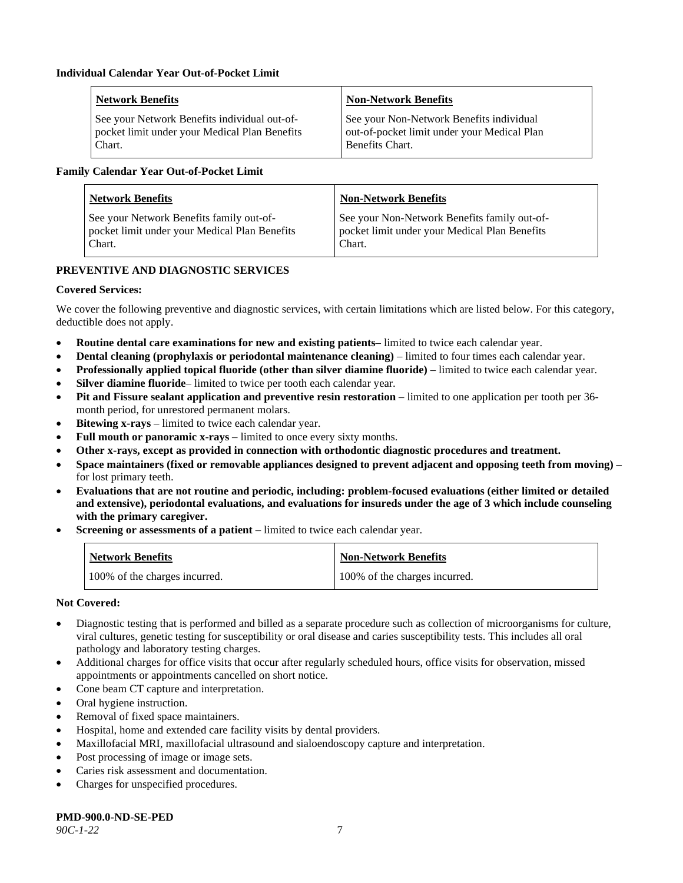| <b>Network Benefits</b>                       | <b>Non-Network Benefits</b>                 |
|-----------------------------------------------|---------------------------------------------|
| See your Network Benefits individual out-of-  | See your Non-Network Benefits individual    |
| pocket limit under your Medical Plan Benefits | out-of-pocket limit under your Medical Plan |
| Chart.                                        | Benefits Chart.                             |

#### **Family Calendar Year Out-of-Pocket Limit**

| <b>Network Benefits</b>                       | <b>Non-Network Benefits</b>                   |
|-----------------------------------------------|-----------------------------------------------|
| See your Network Benefits family out-of-      | See your Non-Network Benefits family out-of-  |
| pocket limit under your Medical Plan Benefits | pocket limit under your Medical Plan Benefits |
| Chart.                                        | Chart.                                        |

#### **PREVENTIVE AND DIAGNOSTIC SERVICES**

#### **Covered Services:**

We cover the following preventive and diagnostic services, with certain limitations which are listed below. For this category, deductible does not apply.

- **Routine dental care examinations for new and existing patients** limited to twice each calendar year.
- **Dental cleaning (prophylaxis or periodontal maintenance cleaning)** limited to four times each calendar year.
- **Professionally applied topical fluoride (other than silver diamine fluoride)** limited to twice each calendar year.
- **Silver diamine fluoride** limited to twice per tooth each calendar year.
- **Pit and Fissure sealant application and preventive resin restoration** limited to one application per tooth per 36 month period, for unrestored permanent molars.
- **Bitewing x-rays** limited to twice each calendar year.
- **Full mouth or panoramic x-rays** limited to once every sixty months.
- **Other x-rays, except as provided in connection with orthodontic diagnostic procedures and treatment.**
- **Space maintainers (fixed or removable appliances designed to prevent adjacent and opposing teeth from moving)** for lost primary teeth.
- **Evaluations that are not routine and periodic, including: problem-focused evaluations (either limited or detailed and extensive), periodontal evaluations, and evaluations for insureds under the age of 3 which include counseling with the primary caregiver.**
- **Screening or assessments of a patient** limited to twice each calendar year.

| <b>Network Benefits</b>       | <b>Non-Network Benefits</b>   |
|-------------------------------|-------------------------------|
| 100% of the charges incurred. | 100% of the charges incurred. |

#### **Not Covered:**

- Diagnostic testing that is performed and billed as a separate procedure such as collection of microorganisms for culture, viral cultures, genetic testing for susceptibility or oral disease and caries susceptibility tests. This includes all oral pathology and laboratory testing charges.
- Additional charges for office visits that occur after regularly scheduled hours, office visits for observation, missed appointments or appointments cancelled on short notice.
- Cone beam CT capture and interpretation.
- Oral hygiene instruction.
- Removal of fixed space maintainers.
- Hospital, home and extended care facility visits by dental providers.
- Maxillofacial MRI, maxillofacial ultrasound and sialoendoscopy capture and interpretation.
- Post processing of image or image sets.
- Caries risk assessment and documentation.
- Charges for unspecified procedures.

**PMD-900.0-ND-SE-PED**

*90C-1-22* 7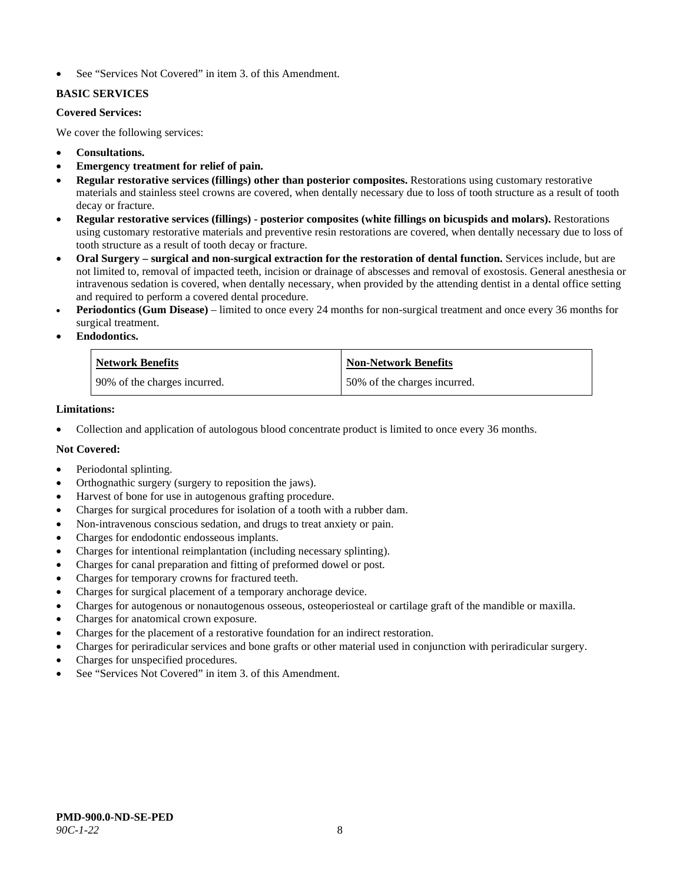See "Services Not Covered" in item 3. of this Amendment.

# **BASIC SERVICES**

#### **Covered Services:**

We cover the following services:

- **Consultations.**
- **Emergency treatment for relief of pain.**
- **Regular restorative services (fillings) other than posterior composites.** Restorations using customary restorative materials and stainless steel crowns are covered, when dentally necessary due to loss of tooth structure as a result of tooth decay or fracture.
- **Regular restorative services (fillings) - posterior composites (white fillings on bicuspids and molars).** Restorations using customary restorative materials and preventive resin restorations are covered, when dentally necessary due to loss of tooth structure as a result of tooth decay or fracture.
- **Oral Surgery – surgical and non-surgical extraction for the restoration of dental function.** Services include, but are not limited to, removal of impacted teeth, incision or drainage of abscesses and removal of exostosis. General anesthesia or intravenous sedation is covered, when dentally necessary, when provided by the attending dentist in a dental office setting and required to perform a covered dental procedure.
- **Periodontics (Gum Disease)** limited to once every 24 months for non-surgical treatment and once every 36 months for surgical treatment.
- **Endodontics.**

| <b>Network Benefits</b>      | Non-Network Benefits         |
|------------------------------|------------------------------|
| 90% of the charges incurred. | 50% of the charges incurred. |

#### **Limitations:**

• Collection and application of autologous blood concentrate product is limited to once every 36 months.

# **Not Covered:**

- Periodontal splinting.
- Orthognathic surgery (surgery to reposition the jaws).
- Harvest of bone for use in autogenous grafting procedure.
- Charges for surgical procedures for isolation of a tooth with a rubber dam.
- Non-intravenous conscious sedation, and drugs to treat anxiety or pain.
- Charges for endodontic endosseous implants.
- Charges for intentional reimplantation (including necessary splinting).
- Charges for canal preparation and fitting of preformed dowel or post.
- Charges for temporary crowns for fractured teeth.
- Charges for surgical placement of a temporary anchorage device.
- Charges for autogenous or nonautogenous osseous, osteoperiosteal or cartilage graft of the mandible or maxilla.
- Charges for anatomical crown exposure.
- Charges for the placement of a restorative foundation for an indirect restoration.
- Charges for periradicular services and bone grafts or other material used in conjunction with periradicular surgery.
- Charges for unspecified procedures.
- See "Services Not Covered" in item 3. of this Amendment.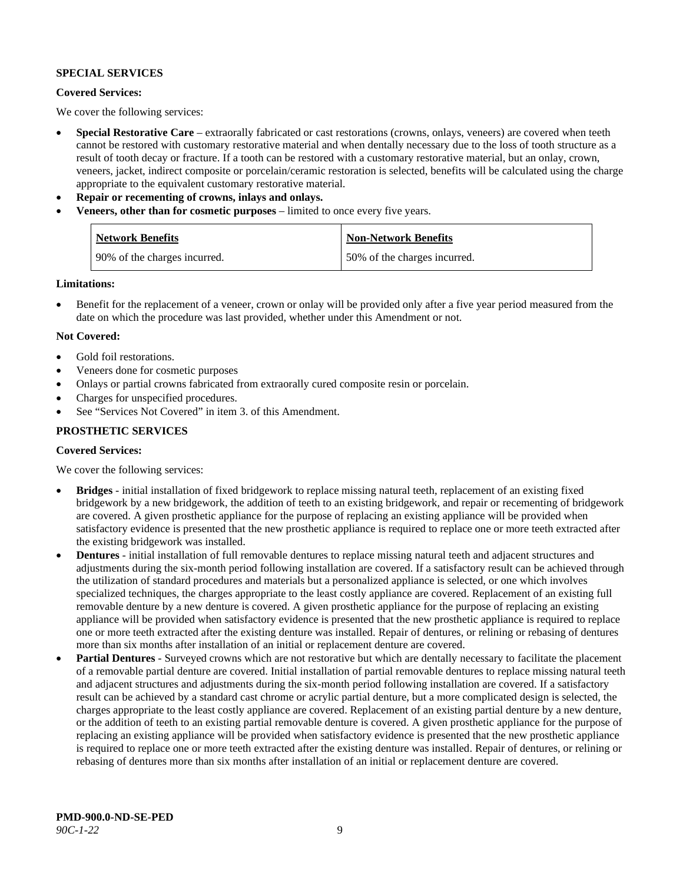#### **SPECIAL SERVICES**

#### **Covered Services:**

We cover the following services:

- **Special Restorative Care** extraorally fabricated or cast restorations (crowns, onlays, veneers) are covered when teeth cannot be restored with customary restorative material and when dentally necessary due to the loss of tooth structure as a result of tooth decay or fracture. If a tooth can be restored with a customary restorative material, but an onlay, crown, veneers, jacket, indirect composite or porcelain/ceramic restoration is selected, benefits will be calculated using the charge appropriate to the equivalent customary restorative material.
- **Repair or recementing of crowns, inlays and onlays.**
- **Veneers, other than for cosmetic purposes** limited to once every five years.

| <b>Network Benefits</b>      | <b>Non-Network Benefits</b>  |
|------------------------------|------------------------------|
| 90% of the charges incurred. | 50% of the charges incurred. |

#### **Limitations:**

• Benefit for the replacement of a veneer, crown or onlay will be provided only after a five year period measured from the date on which the procedure was last provided, whether under this Amendment or not.

#### **Not Covered:**

- Gold foil restorations.
- Veneers done for cosmetic purposes
- Onlays or partial crowns fabricated from extraorally cured composite resin or porcelain.
- Charges for unspecified procedures.
- See "Services Not Covered" in item 3. of this Amendment.

#### **PROSTHETIC SERVICES**

#### **Covered Services:**

We cover the following services:

- **Bridges** initial installation of fixed bridgework to replace missing natural teeth, replacement of an existing fixed bridgework by a new bridgework, the addition of teeth to an existing bridgework, and repair or recementing of bridgework are covered. A given prosthetic appliance for the purpose of replacing an existing appliance will be provided when satisfactory evidence is presented that the new prosthetic appliance is required to replace one or more teeth extracted after the existing bridgework was installed.
- **Dentures** initial installation of full removable dentures to replace missing natural teeth and adjacent structures and adjustments during the six-month period following installation are covered. If a satisfactory result can be achieved through the utilization of standard procedures and materials but a personalized appliance is selected, or one which involves specialized techniques, the charges appropriate to the least costly appliance are covered. Replacement of an existing full removable denture by a new denture is covered. A given prosthetic appliance for the purpose of replacing an existing appliance will be provided when satisfactory evidence is presented that the new prosthetic appliance is required to replace one or more teeth extracted after the existing denture was installed. Repair of dentures, or relining or rebasing of dentures more than six months after installation of an initial or replacement denture are covered.
- **Partial Dentures** Surveyed crowns which are not restorative but which are dentally necessary to facilitate the placement of a removable partial denture are covered. Initial installation of partial removable dentures to replace missing natural teeth and adjacent structures and adjustments during the six-month period following installation are covered. If a satisfactory result can be achieved by a standard cast chrome or acrylic partial denture, but a more complicated design is selected, the charges appropriate to the least costly appliance are covered. Replacement of an existing partial denture by a new denture, or the addition of teeth to an existing partial removable denture is covered. A given prosthetic appliance for the purpose of replacing an existing appliance will be provided when satisfactory evidence is presented that the new prosthetic appliance is required to replace one or more teeth extracted after the existing denture was installed. Repair of dentures, or relining or rebasing of dentures more than six months after installation of an initial or replacement denture are covered.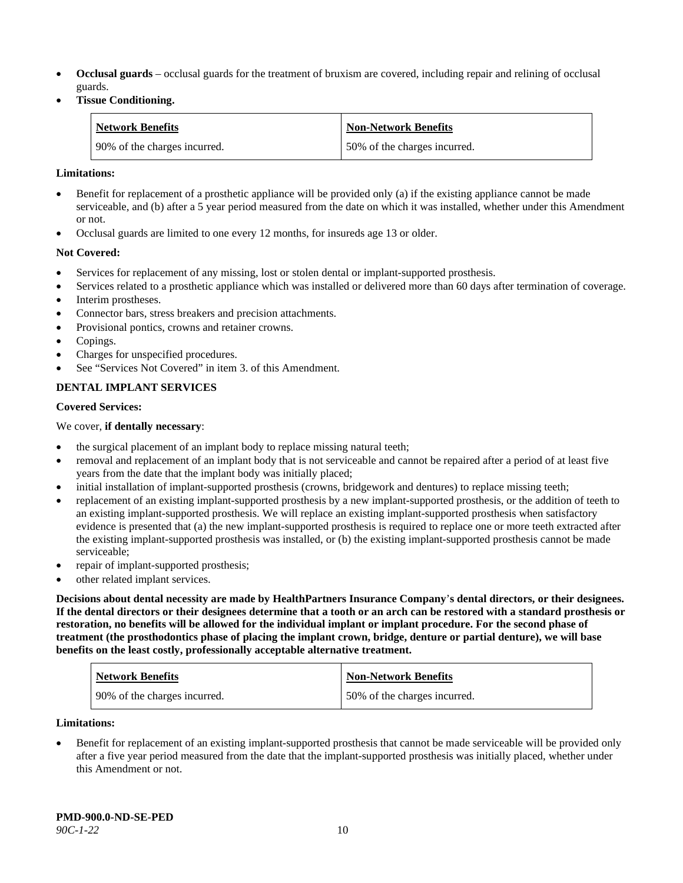- **Occlusal guards** occlusal guards for the treatment of bruxism are covered, including repair and relining of occlusal guards.
- **Tissue Conditioning.**

| <b>Network Benefits</b>      | <b>Non-Network Benefits</b>  |
|------------------------------|------------------------------|
| 90% of the charges incurred. | 50% of the charges incurred. |

#### **Limitations:**

- Benefit for replacement of a prosthetic appliance will be provided only (a) if the existing appliance cannot be made serviceable, and (b) after a 5 year period measured from the date on which it was installed, whether under this Amendment or not.
- Occlusal guards are limited to one every 12 months, for insureds age 13 or older.

#### **Not Covered:**

- Services for replacement of any missing, lost or stolen dental or implant-supported prosthesis.
- Services related to a prosthetic appliance which was installed or delivered more than 60 days after termination of coverage. Interim prostheses.
- Connector bars, stress breakers and precision attachments.
- Provisional pontics, crowns and retainer crowns.
- Copings.
- Charges for unspecified procedures.
- See "Services Not Covered" in item 3. of this Amendment.

#### **DENTAL IMPLANT SERVICES**

#### **Covered Services:**

#### We cover, **if dentally necessary**:

- the surgical placement of an implant body to replace missing natural teeth;
- removal and replacement of an implant body that is not serviceable and cannot be repaired after a period of at least five years from the date that the implant body was initially placed;
- initial installation of implant-supported prosthesis (crowns, bridgework and dentures) to replace missing teeth;
- replacement of an existing implant-supported prosthesis by a new implant-supported prosthesis, or the addition of teeth to an existing implant-supported prosthesis. We will replace an existing implant-supported prosthesis when satisfactory evidence is presented that (a) the new implant-supported prosthesis is required to replace one or more teeth extracted after the existing implant-supported prosthesis was installed, or (b) the existing implant-supported prosthesis cannot be made serviceable;
- repair of implant-supported prosthesis;
- other related implant services.

**Decisions about dental necessity are made by HealthPartners Insurance Company**'**s dental directors, or their designees. If the dental directors or their designees determine that a tooth or an arch can be restored with a standard prosthesis or restoration, no benefits will be allowed for the individual implant or implant procedure. For the second phase of treatment (the prosthodontics phase of placing the implant crown, bridge, denture or partial denture), we will base benefits on the least costly, professionally acceptable alternative treatment.**

| <b>Network Benefits</b>      | <b>Non-Network Benefits</b>  |
|------------------------------|------------------------------|
| 90% of the charges incurred. | 50% of the charges incurred. |

#### **Limitations:**

• Benefit for replacement of an existing implant-supported prosthesis that cannot be made serviceable will be provided only after a five year period measured from the date that the implant-supported prosthesis was initially placed, whether under this Amendment or not.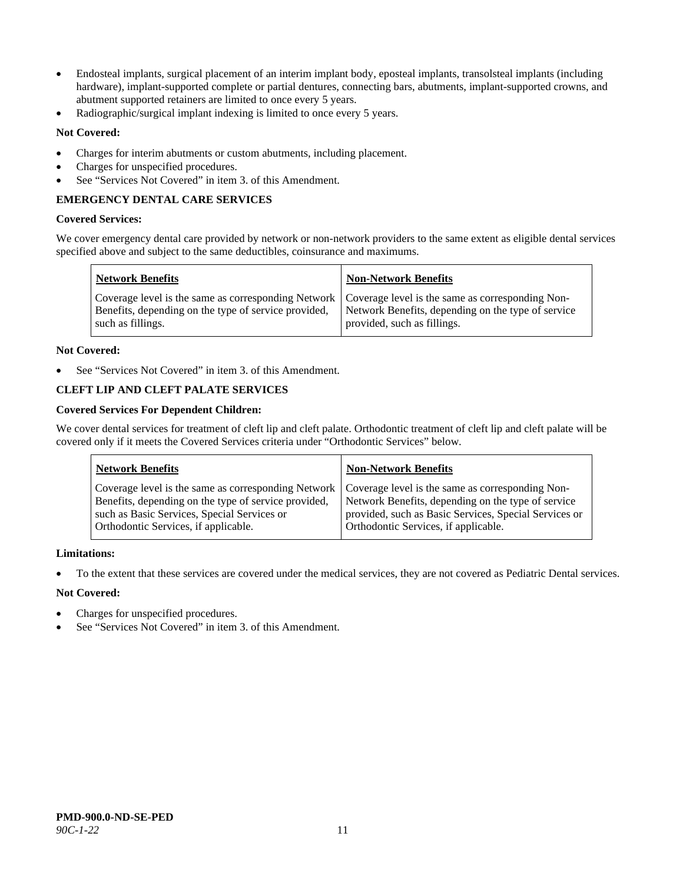- Endosteal implants, surgical placement of an interim implant body, eposteal implants, transolsteal implants (including hardware), implant-supported complete or partial dentures, connecting bars, abutments, implant-supported crowns, and abutment supported retainers are limited to once every 5 years.
- Radiographic/surgical implant indexing is limited to once every 5 years.

# **Not Covered:**

- Charges for interim abutments or custom abutments, including placement.
- Charges for unspecified procedures.
- See "Services Not Covered" in item 3. of this Amendment.

# **EMERGENCY DENTAL CARE SERVICES**

#### **Covered Services:**

We cover emergency dental care provided by network or non-network providers to the same extent as eligible dental services specified above and subject to the same deductibles, coinsurance and maximums.

| <b>Network Benefits</b>                                                                                                                                                             | <b>Non-Network Benefits</b>                                                       |
|-------------------------------------------------------------------------------------------------------------------------------------------------------------------------------------|-----------------------------------------------------------------------------------|
| Coverage level is the same as corresponding Network   Coverage level is the same as corresponding Non-<br>Benefits, depending on the type of service provided,<br>such as fillings. | Network Benefits, depending on the type of service<br>provided, such as fillings. |

#### **Not Covered:**

See "Services Not Covered" in item 3. of this Amendment.

# **CLEFT LIP AND CLEFT PALATE SERVICES**

#### **Covered Services For Dependent Children:**

We cover dental services for treatment of cleft lip and cleft palate. Orthodontic treatment of cleft lip and cleft palate will be covered only if it meets the Covered Services criteria under "Orthodontic Services" below.

| <b>Network Benefits</b>                              | <b>Non-Network Benefits</b>                           |
|------------------------------------------------------|-------------------------------------------------------|
| Coverage level is the same as corresponding Network  | Coverage level is the same as corresponding Non-      |
| Benefits, depending on the type of service provided, | Network Benefits, depending on the type of service    |
| such as Basic Services, Special Services or          | provided, such as Basic Services, Special Services or |
| Orthodontic Services, if applicable.                 | Orthodontic Services, if applicable.                  |

#### **Limitations:**

• To the extent that these services are covered under the medical services, they are not covered as Pediatric Dental services.

#### **Not Covered:**

- Charges for unspecified procedures.
- See "Services Not Covered" in item 3. of this Amendment.